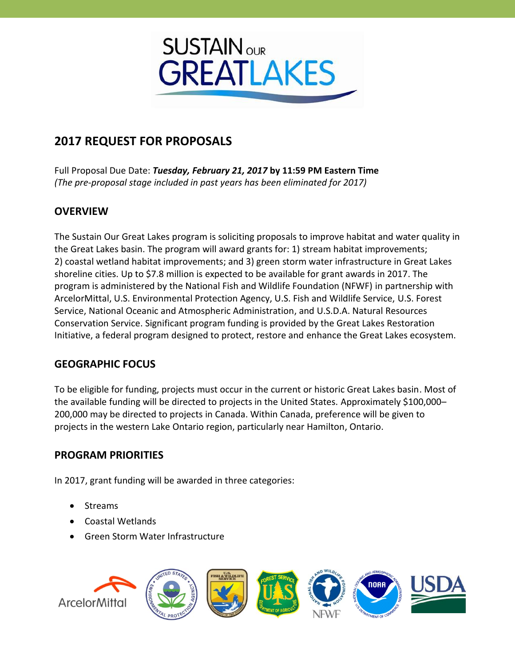

# **2017 REQUEST FOR PROPOSALS**

Full Proposal Due Date: *Tuesday, February 21, 2017* **by 11:59 PM Eastern Time** *(The pre-proposal stage included in past years has been eliminated for 2017)*

# **OVERVIEW**

The Sustain Our Great Lakes program is soliciting proposals to improve habitat and water quality in the Great Lakes basin. The program will award grants for: 1) stream habitat improvements; 2) coastal wetland habitat improvements; and 3) green storm water infrastructure in Great Lakes shoreline cities. Up to \$7.8 million is expected to be available for grant awards in 2017. The program is administered by the National Fish and Wildlife Foundation (NFWF) in partnership with ArcelorMittal, U.S. Environmental Protection Agency, U.S. Fish and Wildlife Service, U.S. Forest Service, National Oceanic and Atmospheric Administration, and U.S.D.A. Natural Resources Conservation Service. Significant program funding is provided by the Great Lakes Restoration Initiative, a federal program designed to protect, restore and enhance the Great Lakes ecosystem.

# **GEOGRAPHIC FOCUS**

To be eligible for funding, projects must occur in the current or historic Great Lakes basin. Most of the available funding will be directed to projects in the United States. Approximately \$100,000-200,000 may be directed to projects in Canada. Within Canada, preference will be given to projects in the western Lake Ontario region, particularly near Hamilton, Ontario.

# **PROGRAM PRIORITIES**

In 2017, grant funding will be awarded in three categories:

- Streams
- Coastal Wetlands
- Green Storm Water Infrastructure

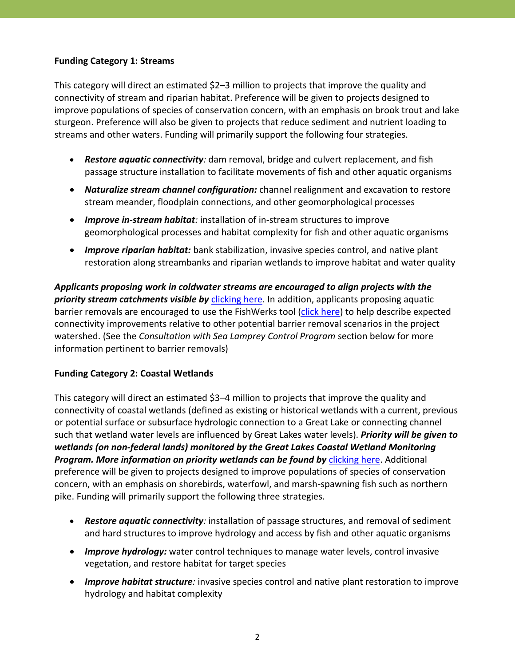#### **Funding Category 1: Streams**

This category will direct an estimated \$2–3 million to projects that improve the quality and connectivity of stream and riparian habitat. Preference will be given to projects designed to improve populations of species of conservation concern, with an emphasis on brook trout and lake sturgeon. Preference will also be given to projects that reduce sediment and nutrient loading to streams and other waters. Funding will primarily support the following four strategies.

- *Restore aquatic connectivity:* dam removal, bridge and culvert replacement, and fish passage structure installation to facilitate movements of fish and other aquatic organisms
- *Naturalize stream channel configuration:* channel realignment and excavation to restore stream meander, floodplain connections, and other geomorphological processes
- *Improve in-stream habitat:* installation of in-stream structures to improve geomorphological processes and habitat complexity for fish and other aquatic organisms
- *Improve riparian habitat:* bank stabilization, invasive species control, and native plant restoration along streambanks and riparian wetlands to improve habitat and water quality

*Applicants proposing work in coldwater streams are encouraged to align projects with the priority stream catchments visible by* [clicking here.](http://nfwf.maps.arcgis.com/apps/Viewer/index.html?appid=c4b099ee554c4542bb6535498850f9e9) In addition, applicants proposing aquatic barrier removals are encouraged to use the FishWerks tool [\(click here\)](https://greatlakesconnectivity.org/fishApp) to help describe expected connectivity improvements relative to other potential barrier removal scenarios in the project watershed. (See the *Consultation with Sea Lamprey Control Program* section below for more information pertinent to barrier removals)

#### **Funding Category 2: Coastal Wetlands**

This category will direct an estimated \$3–4 million to projects that improve the quality and connectivity of coastal wetlands (defined as existing or historical wetlands with a current, previous or potential surface or subsurface hydrologic connection to a Great Lake or connecting channel such that wetland water levels are influenced by Great Lakes water levels). *Priority will be given to wetlands (on non-federal lands) monitored by the Great Lakes Coastal Wetland Monitoring*  **Program. More information on priority wetlands can be found by [clicking here.](http://www.greatlakeswetlands.org/Map) Additional** preference will be given to projects designed to improve populations of species of conservation concern, with an emphasis on shorebirds, waterfowl, and marsh-spawning fish such as northern pike. Funding will primarily support the following three strategies.

- *Restore aquatic connectivity:* installation of passage structures, and removal of sediment and hard structures to improve hydrology and access by fish and other aquatic organisms
- *Improve hydrology:* water control techniques to manage water levels, control invasive vegetation, and restore habitat for target species
- *Improve habitat structure:* invasive species control and native plant restoration to improve hydrology and habitat complexity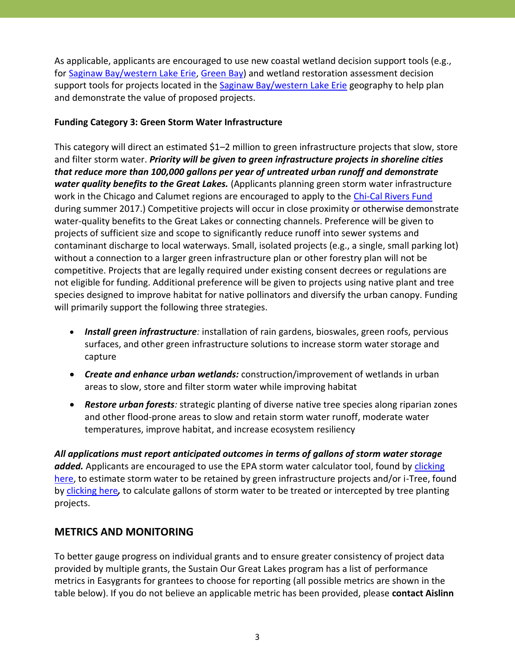As applicable, applicants are encouraged to use new coastal wetland decision support tools (e.g., fo[r Saginaw Bay/western Lake Erie,](http://www.greatlakeswetlands.org/DST/Home.vbhtml) [Green Bay\)](http://maps.tnc.org/coastalwetlandtool/) and wetland restoration assessment decision support tools for projects located in the [Saginaw Bay/western Lake Erie](https://glcwra.wim.usgs.gov/wlera/) geography to help plan and demonstrate the value of proposed projects.

#### **Funding Category 3: Green Storm Water Infrastructure**

This category will direct an estimated \$1–2 million to green infrastructure projects that slow, store and filter storm water. *Priority will be given to green infrastructure projects in shoreline cities that reduce more than 100,000 gallons per year of untreated urban runoff and demonstrate water quality benefits to the Great Lakes.* (Applicants planning green storm water infrastructure work in the Chicago and Calumet regions are encouraged to apply to the [Chi-Cal Rivers Fund](http://www.nfwf.org/chi-cal) during summer 2017.) Competitive projects will occur in close proximity or otherwise demonstrate water-quality benefits to the Great Lakes or connecting channels. Preference will be given to projects of sufficient size and scope to significantly reduce runoff into sewer systems and contaminant discharge to local waterways. Small, isolated projects (e.g., a single, small parking lot) without a connection to a larger green infrastructure plan or other forestry plan will not be competitive. Projects that are legally required under existing consent decrees or regulations are not eligible for funding. Additional preference will be given to projects using native plant and tree species designed to improve habitat for native pollinators and diversify the urban canopy. Funding will primarily support the following three strategies.

- *Install green infrastructure:* installation of rain gardens, bioswales, green roofs, pervious surfaces, and other green infrastructure solutions to increase storm water storage and capture
- *Create and enhance urban wetlands:* construction/improvement of wetlands in urban areas to slow, store and filter storm water while improving habitat
- *Restore urban forests:* strategic planting of diverse native tree species along riparian zones and other flood-prone areas to slow and retain storm water runoff, moderate water temperatures, improve habitat, and increase ecosystem resiliency

*All applications must report anticipated outcomes in terms of gallons of storm water storage added.* Applicants are encouraged to use the EPA storm water calculator tool, found by [clicking](https://www.epa.gov/water-research/national-stormwater-calculator)  [here,](https://www.epa.gov/water-research/national-stormwater-calculator) to estimate storm water to be retained by green infrastructure projects and/or i-Tree, found by [clicking here](http://www.itreetools.org/)*,* to calculate gallons of storm water to be treated or intercepted by tree planting projects.

# **METRICS AND MONITORING**

To better gauge progress on individual grants and to ensure greater consistency of project data provided by multiple grants, the Sustain Our Great Lakes program has a list of performance metrics in Easygrants for grantees to choose for reporting (all possible metrics are shown in the table below). If you do not believe an applicable metric has been provided, please **contact Aislinn**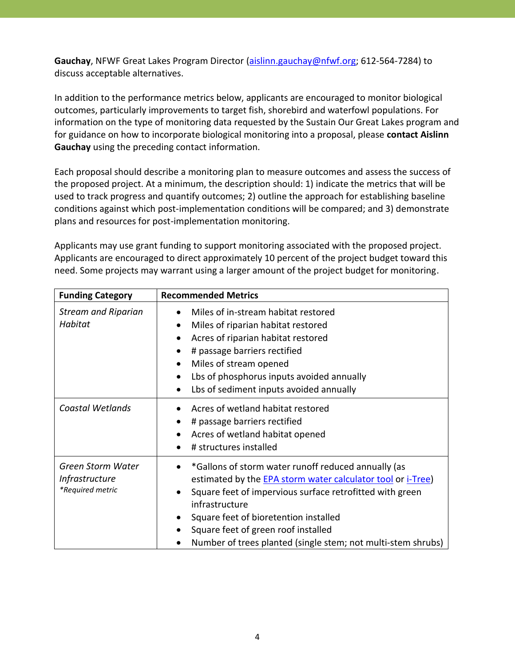**Gauchay**, NFWF Great Lakes Program Director [\(aislinn.gauchay@nfwf.org;](mailto:aislinn.gauchay@nfwf.org) 612-564-7284) to discuss acceptable alternatives.

In addition to the performance metrics below, applicants are encouraged to monitor biological outcomes, particularly improvements to target fish, shorebird and waterfowl populations. For information on the type of monitoring data requested by the Sustain Our Great Lakes program and for guidance on how to incorporate biological monitoring into a proposal, please **contact Aislinn Gauchay** using the preceding contact information.

Each proposal should describe a monitoring plan to measure outcomes and assess the success of the proposed project. At a minimum, the description should: 1) indicate the metrics that will be used to track progress and quantify outcomes; 2) outline the approach for establishing baseline conditions against which post-implementation conditions will be compared; and 3) demonstrate plans and resources for post-implementation monitoring.

Applicants may use grant funding to support monitoring associated with the proposed project. Applicants are encouraged to direct approximately 10 percent of the project budget toward this need. Some projects may warrant using a larger amount of the project budget for monitoring.

| <b>Funding Category</b>                                               | <b>Recommended Metrics</b>                                                                                                                                                                                                                                                                                                                                                        |
|-----------------------------------------------------------------------|-----------------------------------------------------------------------------------------------------------------------------------------------------------------------------------------------------------------------------------------------------------------------------------------------------------------------------------------------------------------------------------|
| <b>Stream and Riparian</b><br>Habitat                                 | Miles of in-stream habitat restored<br>Miles of riparian habitat restored<br>$\bullet$<br>Acres of riparian habitat restored<br>$\bullet$<br># passage barriers rectified<br>$\bullet$<br>Miles of stream opened<br>$\bullet$<br>Lbs of phosphorus inputs avoided annually<br>$\bullet$<br>Lbs of sediment inputs avoided annually<br>$\bullet$                                   |
| Coastal Wetlands                                                      | Acres of wetland habitat restored<br># passage barriers rectified<br>$\bullet$<br>Acres of wetland habitat opened<br>$\bullet$<br># structures installed                                                                                                                                                                                                                          |
| <b>Green Storm Water</b><br><i>Infrastructure</i><br>*Required metric | *Gallons of storm water runoff reduced annually (as<br>estimated by the <b>EPA</b> storm water calculator tool or i-Tree)<br>Square feet of impervious surface retrofitted with green<br>$\bullet$<br>infrastructure<br>Square feet of bioretention installed<br>$\bullet$<br>Square feet of green roof installed<br>Number of trees planted (single stem; not multi-stem shrubs) |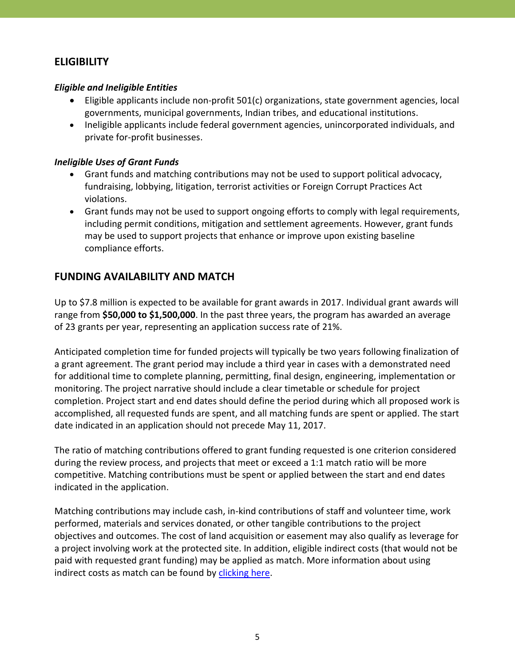# **ELIGIBILITY**

#### *Eligible and Ineligible Entities*

- Eligible applicants include non-profit 501(c) organizations, state government agencies, local governments, municipal governments, Indian tribes, and educational institutions.
- Ineligible applicants include federal government agencies, unincorporated individuals, and private for-profit businesses.

#### *Ineligible Uses of Grant Funds*

- Grant funds and matching contributions may not be used to support political advocacy, fundraising, lobbying, litigation, terrorist activities or Foreign Corrupt Practices Act violations.
- Grant funds may not be used to support ongoing efforts to comply with legal requirements, including permit conditions, mitigation and settlement agreements. However, grant funds may be used to support projects that enhance or improve upon existing baseline compliance efforts.

# **FUNDING AVAILABILITY AND MATCH**

Up to \$7.8 million is expected to be available for grant awards in 2017. Individual grant awards will range from **\$50,000 to \$1,500,000**. In the past three years, the program has awarded an average of 23 grants per year, representing an application success rate of 21%.

Anticipated completion time for funded projects will typically be two years following finalization of a grant agreement. The grant period may include a third year in cases with a demonstrated need for additional time to complete planning, permitting, final design, engineering, implementation or monitoring. The project narrative should include a clear timetable or schedule for project completion. Project start and end dates should define the period during which all proposed work is accomplished, all requested funds are spent, and all matching funds are spent or applied. The start date indicated in an application should not precede May 11, 2017.

The ratio of matching contributions offered to grant funding requested is one criterion considered during the review process, and projects that meet or exceed a 1:1 match ratio will be more competitive. Matching contributions must be spent or applied between the start and end dates indicated in the application.

Matching contributions may include cash, in-kind contributions of staff and volunteer time, work performed, materials and services donated, or other tangible contributions to the project objectives and outcomes. The cost of land acquisition or easement may also qualify as leverage for a project involving work at the protected site. In addition, eligible indirect costs (that would not be paid with requested grant funding) may be applied as match. More information about using indirect costs as match can be found by [clicking here.](http://www.nfwf.org/whatwedo/grants/applicants/Pages/indirect-policy.aspx)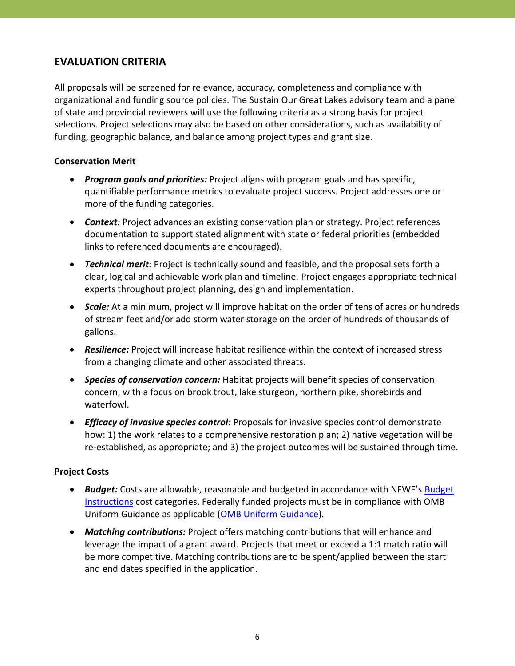# **EVALUATION CRITERIA**

All proposals will be screened for relevance, accuracy, completeness and compliance with organizational and funding source policies. The Sustain Our Great Lakes advisory team and a panel of state and provincial reviewers will use the following criteria as a strong basis for project selections. Project selections may also be based on other considerations, such as availability of funding, geographic balance, and balance among project types and grant size.

#### **Conservation Merit**

- *Program goals and priorities:* Project aligns with program goals and has specific, quantifiable performance metrics to evaluate project success. Project addresses one or more of the funding categories.
- *Context:* Project advances an existing conservation plan or strategy. Project references documentation to support stated alignment with state or federal priorities (embedded links to referenced documents are encouraged).
- *Technical merit:* Project is technically sound and feasible, and the proposal sets forth a clear, logical and achievable work plan and timeline. Project engages appropriate technical experts throughout project planning, design and implementation.
- *Scale:* At a minimum, project will improve habitat on the order of tens of acres or hundreds of stream feet and/or add storm water storage on the order of hundreds of thousands of gallons.
- *Resilience:* Project will increase habitat resilience within the context of increased stress from a changing climate and other associated threats.
- *Species of conservation concern:* Habitat projects will benefit species of conservation concern, with a focus on brook trout, lake sturgeon, northern pike, shorebirds and waterfowl.
- *Efficacy of invasive species control:* Proposals for invasive species control demonstrate how: 1) the work relates to a comprehensive restoration plan; 2) native vegetation will be re-established, as appropriate; and 3) the project outcomes will be sustained through time.

#### **Project Costs**

- *Budget:* Costs are allowable, reasonable and budgeted in accordance with NFWF's [Budget](http://www.nfwf.org/whatwedo/grants/applicants/Pages/budget-instructions.aspx)  [Instructions](http://www.nfwf.org/whatwedo/grants/applicants/Pages/budget-instructions.aspx) cost categories. Federally funded projects must be in compliance with OMB Uniform Guidance as applicable [\(OMB Uniform Guidance\)](http://www.ecfr.gov/cgi-bin/text-idx?SID=704835d27377ef5213a51c149de40cab&node=2:1.1.2.2.1&rgn=div5).
- *Matching contributions:* Project offers matching contributions that will enhance and leverage the impact of a grant award. Projects that meet or exceed a 1:1 match ratio will be more competitive. Matching contributions are to be spent/applied between the start and end dates specified in the application.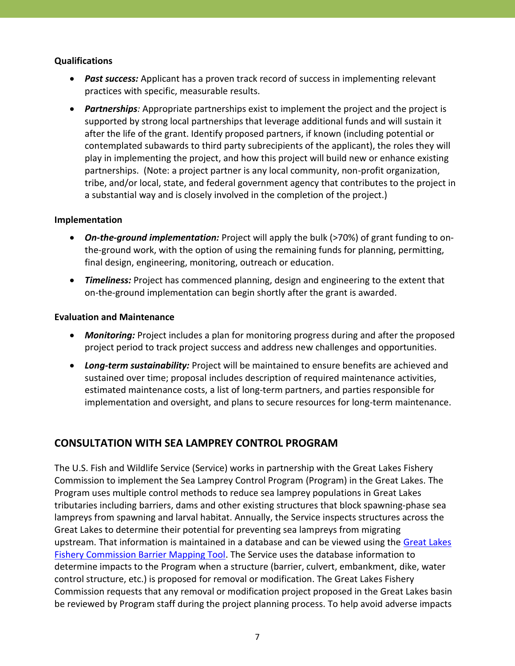#### **Qualifications**

- *Past success:* Applicant has a proven track record of success in implementing relevant practices with specific, measurable results.
- *Partnerships:* Appropriate partnerships exist to implement the project and the project is supported by strong local partnerships that leverage additional funds and will sustain it after the life of the grant. Identify proposed partners, if known (including potential or contemplated subawards to third party subrecipients of the applicant), the roles they will play in implementing the project, and how this project will build new or enhance existing partnerships. (Note: a project partner is any local community, non-profit organization, tribe, and/or local, state, and federal government agency that contributes to the project in a substantial way and is closely involved in the completion of the project.)

#### **Implementation**

- *On-the-ground implementation:* Project will apply the bulk (>70%) of grant funding to onthe-ground work, with the option of using the remaining funds for planning, permitting, final design, engineering, monitoring, outreach or education.
- *Timeliness:* Project has commenced planning, design and engineering to the extent that on-the-ground implementation can begin shortly after the grant is awarded.

#### **Evaluation and Maintenance**

- *Monitoring:* Project includes a plan for monitoring progress during and after the proposed project period to track project success and address new challenges and opportunities.
- *Long-term sustainability:* Project will be maintained to ensure benefits are achieved and sustained over time; proposal includes description of required maintenance activities, estimated maintenance costs, a list of long-term partners, and parties responsible for implementation and oversight, and plans to secure resources for long-term maintenance.

# **CONSULTATION WITH SEA LAMPREY CONTROL PROGRAM**

The U.S. Fish and Wildlife Service (Service) works in partnership with the Great Lakes Fishery Commission to implement the Sea Lamprey Control Program (Program) in the Great Lakes. The Program uses multiple control methods to reduce sea lamprey populations in Great Lakes tributaries including barriers, dams and other existing structures that block spawning-phase sea lampreys from spawning and larval habitat. Annually, the Service inspects structures across the Great Lakes to determine their potential for preventing sea lampreys from migrating upstream. That information is maintained in a database and can be viewed using the [Great Lakes](http://data.glfc.org/)  [Fishery Commission Barrier Mapping Tool.](http://data.glfc.org/) The Service uses the database information to determine impacts to the Program when a structure (barrier, culvert, embankment, dike, water control structure, etc.) is proposed for removal or modification. The Great Lakes Fishery Commission requests that any removal or modification project proposed in the Great Lakes basin be reviewed by Program staff during the project planning process. To help avoid adverse impacts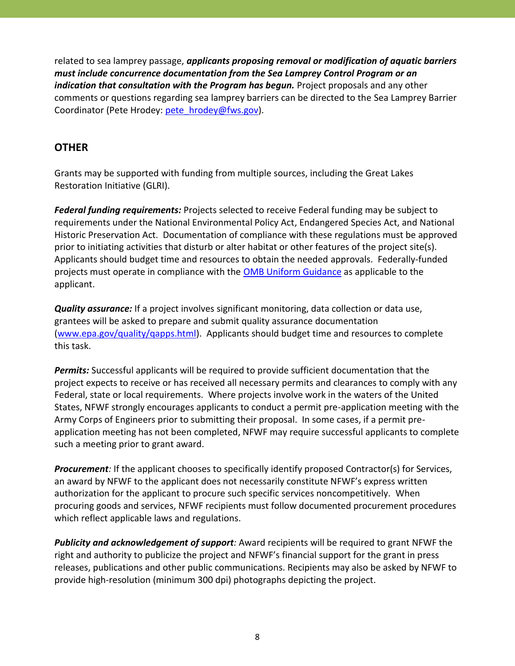related to sea lamprey passage, *applicants proposing removal or modification of aquatic barriers must include concurrence documentation from the Sea Lamprey Control Program or an indication that consultation with the Program has begun.* Project proposals and any other comments or questions regarding sea lamprey barriers can be directed to the Sea Lamprey Barrier Coordinator (Pete Hrodey: [pete\\_hrodey@fws.gov\)](mailto:pete_hrodey@fws.gov).

# **OTHER**

Grants may be supported with funding from multiple sources, including the Great Lakes Restoration Initiative (GLRI).

*Federal funding requirements:* Projects selected to receive Federal funding may be subject to requirements under the National Environmental Policy Act, Endangered Species Act, and National Historic Preservation Act. Documentation of compliance with these regulations must be approved prior to initiating activities that disturb or alter habitat or other features of the project site(s). Applicants should budget time and resources to obtain the needed approvals. Federally-funded projects must operate in compliance with the **OMB Uniform Guidance** as applicable to the applicant.

*Quality assurance:* If a project involves significant monitoring, data collection or data use, grantees will be asked to prepare and submit quality assurance documentation [\(www.epa.gov/quality/qapps.html\)](http://www.epa.gov/quality/qapps.html). Applicants should budget time and resources to complete this task.

*Permits:* Successful applicants will be required to provide sufficient documentation that the project expects to receive or has received all necessary permits and clearances to comply with any Federal, state or local requirements. Where projects involve work in the waters of the United States, NFWF strongly encourages applicants to conduct a permit pre-application meeting with the Army Corps of Engineers prior to submitting their proposal. In some cases, if a permit preapplication meeting has not been completed, NFWF may require successful applicants to complete such a meeting prior to grant award.

*Procurement:* If the applicant chooses to specifically identify proposed Contractor(s) for Services, an award by NFWF to the applicant does not necessarily constitute NFWF's express written authorization for the applicant to procure such specific services noncompetitively. When procuring goods and services, NFWF recipients must follow documented procurement procedures which reflect applicable laws and regulations.

*Publicity and acknowledgement of support:* Award recipients will be required to grant NFWF the right and authority to publicize the project and NFWF's financial support for the grant in press releases, publications and other public communications. Recipients may also be asked by NFWF to provide high-resolution (minimum 300 dpi) photographs depicting the project.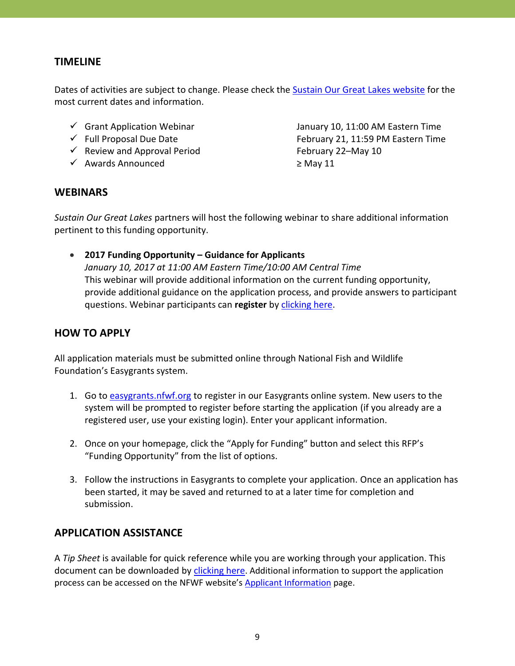# **TIMELINE**

Dates of activities are subject to change. Please check the [Sustain Our Great Lakes](http://www.sustainourgreatlakes.org/apply) website for the most current dates and information.

- 
- 
- $\checkmark$  Review and Approval Period February 22–May 10
- Awards Announced ≥ May 11

 $\checkmark$  Grant Application Webinar  $\checkmark$  January 10, 11:00 AM Eastern Time  $\checkmark$  Full Proposal Due Date February 21, 11:59 PM Eastern Time

### **WEBINARS**

*Sustain Our Great Lakes* partners will host the following webinar to share additional information pertinent to this funding opportunity.

 **2017 Funding Opportunity – Guidance for Applicants** *January 10, 2017 at 11:00 AM Eastern Time/10:00 AM Central Time* This webinar will provide additional information on the current funding opportunity, provide additional guidance on the application process, and provide answers to participant questions. Webinar participants can **register** by [clicking here.](https://attendee.gotowebinar.com/register/5502595380685410049)

# **HOW TO APPLY**

All application materials must be submitted online through National Fish and Wildlife Foundation's Easygrants system.

- 1. Go to [easygrants.nfwf.org](https://easygrants.nfwf.org/) to register in our Easygrants online system. New users to the system will be prompted to register before starting the application (if you already are a registered user, use your existing login). Enter your applicant information.
- 2. Once on your homepage, click the "Apply for Funding" button and select this RFP's "Funding Opportunity" from the list of options.
- 3. Follow the instructions in Easygrants to complete your application. Once an application has been started, it may be saved and returned to at a later time for completion and submission.

# **APPLICATION ASSISTANCE**

A *Tip Sheet* is available for quick reference while you are working through your application. This document can be downloaded by [clicking here](https://www.sustainourgreatlakes.org/wp-content/uploads/SOGL-2017-Tip-Sheet-Full-Proposal-Only.pdf). Additional information to support the application process can be accessed on the NFWF website's **[Applicant Information](http://www.nfwf.org/whatwedo/grants/applicants/Pages/home.aspx)** page.